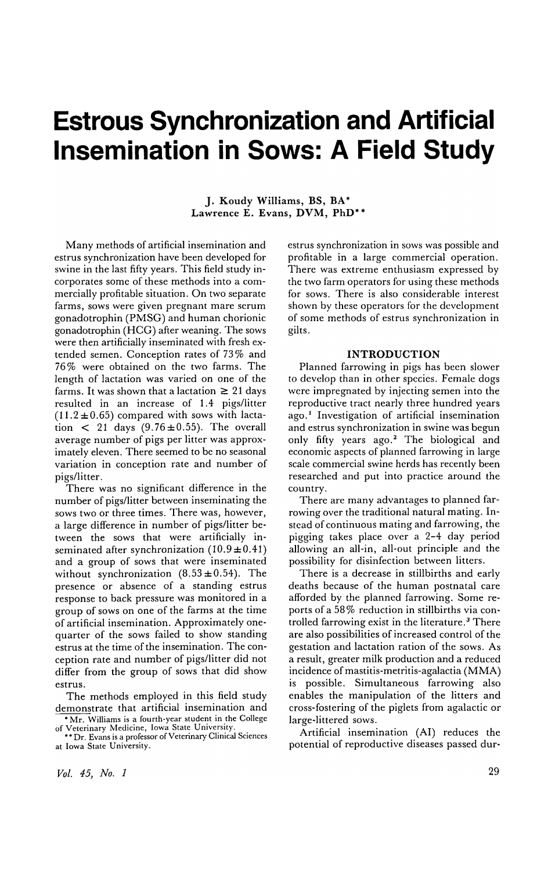# **Estrous Synchronization and Artificial Insemination in Sows: A Field Study**

J. Koudy Williams, BS, BA\* Lawrence E. Evans, DVM, PhD\*\*

Many methods of artificial insemination and estrus synchronization have been developed for swine in the last fifty years. This field study incorporates some of these methods into a commercially profitable situation. On two separate farms, sows were given pregnant mare serum gonadotrophin (PMSG) and human chorionic gonadotrophin (HCG) after weaning. The sows were then artificially inseminated with fresh extended semen. Conception rates of 73% and 76% were obtained on the two farms. The length of lactation was varied on one of the farms. It was shown that a lactation  $\geq 21$  days resulted in an increase of 1.4 pigs/litter  $(11.2 \pm 0.65)$  compared with sows with lactation  $\lt$  21 days (9.76 $\pm$ 0.55). The overall average number of pigs per litter was approximately eleven. There seemed to be no seasonal variation in conception rate and number of pigs/litter.

There was no significant difference in the number of pigs/litter between inseminating the sows two or three times. There was, however, a large difference in number of pigs/litter between the sows that were artificially inseminated after synchronization  $(10.9 \pm 0.41)$ and a group of sows that were inseminated without synchronization  $(8.53\pm0.54)$ . The presence or absence of a standing estrus response to back pressure was monitored in a group of sows on one of the farms at the time of artificial insemination. Approximately onequarter of the sows failed to show standing estrus at the time of the insemination. The conception rate and number of pigs/litter did not differ from the group of sows that did show estrus.

The methods employed in this field study demonstrate that artificial insemination and

 $*$  Mr. Williams is a fourth-year student in the College of Veterinary Medicine, Iowa State University. •• Dr. Evans is a professor of Veterinary Clinical Sciences

at Iowa State University.

estrus synchronization in sows was possible and profitable in a large commercial operation. There was extreme enthusiasm expressed by the two farm operators for using these methods for sows. There is also considerable interest shown by these operators for the development of some methods of estrus synchronization in gilts.

#### INTRODUCTION

Planned farrowing in pigs has been slower to develop than in other species. Female dogs were impregnated by injecting semen into the reproductive tract nearly three hundred years ago.<sup>1</sup> Investigation of artificial insemination and estrus synchronization in swine was begun only fifty years ago.<sup>2</sup> The biological and economic aspects of planned farrowing in large scale commercial swine herds has recently been researched and put into practice around the country.

There are many advantages to planned farrowing over the traditional natural mating. Instead of continuous mating and farrowing, the pigging takes place over a 2-4 day period allowing an all-in, all-out principle and the possibility for disinfection between litters.

There is a decrease in stillbirths and early deaths because of the human postnatal care afforded by the planned farrowing. Some reports of a 58% reduction in stillbirths via controlled farrowing exist in the literature.<sup>3</sup> There are also possibilities of increased control of the gestation and lactation ration of the sows. As a result, greater milk production and a reduced incidence of mastitis-metritis-agalactia (MMA) is possible. Simultaneous farrowing also enables the manipulation of the litters and cross-fostering of the piglets from agalactic or large-littered sows.

Artificial insemination (AI) reduces the potential of reproductive diseases passed dur-

*Vol.* 45, *No. 1*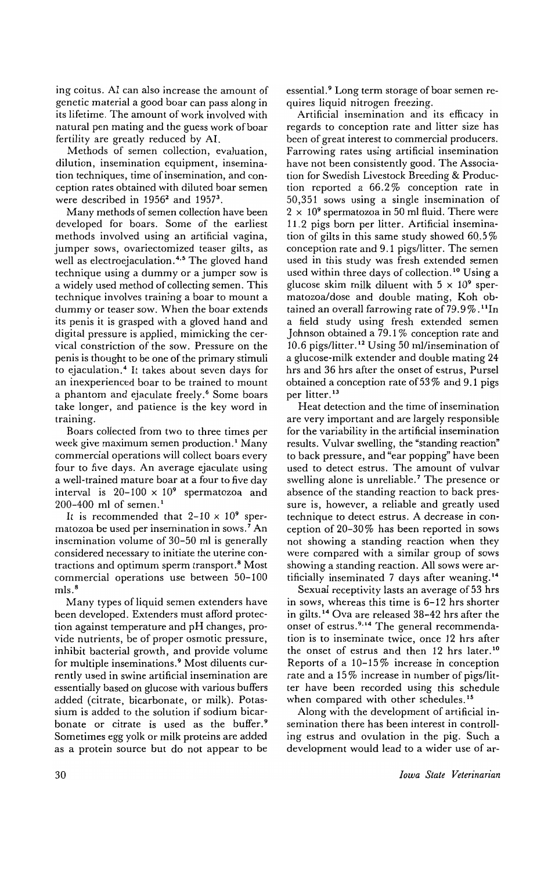ing coitus. AI can also increase the amount of genetic material a good boar can pass along in its lifetime. The amount of work involved with natural pen mating and the guess work of boar fertility are greatly reduced by AI.

Methods of semen collection, evaluation, dilution, insemination equipment, insemination techniques, time of insemination, and conception rates obtained with diluted boar semen were described in  $1956^2$  and  $1957^3$ .

Many methods of semen collection have been developed for boars. Some of the earliest methods involved using an artificial vagina, jumper sows, ovariectomized teaser gilts, as well as electroejaculation.<sup>4,5</sup> The gloved hand technique using a dummy or a jumper sow is a widely used method of collecting semen. This technique involves training a boar to mount a dummy or teaser sow. When the boar extends its penis it is grasped with a gloved hand and digital pressure is applied, mimicking the cervical constriction of the sow. Pressure on the penis is thought to be one of the primary stimuli to ejaculation.<sup>4</sup> It takes about seven days for an inexperienced boar to be trained to mount a phantom and ejaculate freely.<sup>6</sup> Some boars take longer, and patience is the key word in training.

Boars collected from two to three times per week give maximum semen production.<sup>1</sup> Many commercial operations will collect boars every four to five days. An average ejaculate using a well-trained mature boar at a four to five day interval is  $20-100 \times 10^9$  spermatozoa and 200-400 ml of semen. <sup>I</sup>

It is recommended that  $2-10 \times 10^9$  spermatozoa be used per insemination in sows. 7 An insemination volume of 30-50 ml is generally considered necessary to initiate the uterine contractions and optimum sperm transport. 8 Most commercial operations use between 50-100 mls. <sup>8</sup>

Many types of liquid semen extenders have been developed. Extenders must afford protection against temperature and pH changes, provide nutrients, be of proper osmotic pressure, inhibit bacterial growth, and provide volume for multiple inseminations. 9 Most diluents currently used in swine artificial insemination are essentially based on glucose with various buffers added (citrate, bicarbonate, or milk). Potassium is added to the solution if sodium bicarbonate or citrate is used as the buffer.<sup>9</sup> Sometimes egg yolk or milk proteins are added as a protein source but do not appear to be essential.<sup>9</sup> Long term storage of boar semen requires liquid nitrogen freezing.

Artificial insemination and its efficacy in regards to conception rate and litter size has been of great interest to commercial producers. Farrowing rates using artificial insemination have not been consistently good. The Association for Swedish Livestock Breeding & Production reported a 66.2 % conception rate in 50,351 sows using a single insemination of  $2 \times 10^9$  spermatozoa in 50 ml fluid. There were 11.2 pigs born per litter. Artificial insemination of gilts in this same study showed  $60.5\%$ conception rate and 9.1 pigslIitter. The semen used in this study was fresh extended semen used within three days of collection. 10 Using a glucose skim milk diluent with  $5 \times 10^9$  spermatozoa/dose and double mating, Koh obtained an overall farrowing rate of 79.9%.<sup>11</sup>In a field study using fresh extended semen Johnson obtained a 79.1 % conception rate and 10.6 pigs/litter.<sup>12</sup> Using 50 ml/insemination of a glucose-milk extender and double mating 24 hrs and 36 hrs after the onset of estrus, Pursel obtained a conception rate of 53 % and 9.1 pigs per litter.<sup>13</sup>

Heat detection and the time of insemination are very important and are largely responsible for the variability in the artificial insemination results. Vulvar swelling, the "standing reaction" to back pressure, and "ear popping" have been used to detect estrus. The amount of vulvar swelling alone is unreliable.<sup>7</sup> The presence or absence of the standing reaction to back pressure is, however, a reliable and greatly used technique to detect estrus. A decrease in conception of 20-30% has been reported in sows not showing a standing reaction when they were compared with a similar group of sows showing a standing reaction. All sows were artificially inseminated 7 days after weaning.<sup>14</sup>

Sexual receptivity lasts an average of 53 hrs in sows, whereas this time is 6-12 hrs shorter in gilts. 14 Ova are released 38-42 hrs after the onset of estrus.<sup>9,14</sup> The general recommendation is to inseminate twice, once 12 hrs after the onset of estrus and then 12 hrs later.<sup>10</sup> Reports of a 10-15 % increase in conception rate and a 15% increase in number of pigs/litter have been recorded using this schedule when compared with other schedules.<sup>15</sup>

Along with the development of artificial insemination there has been interest in controlling estrus and ovulation in the pig. Such a development would lead to a wider use of ar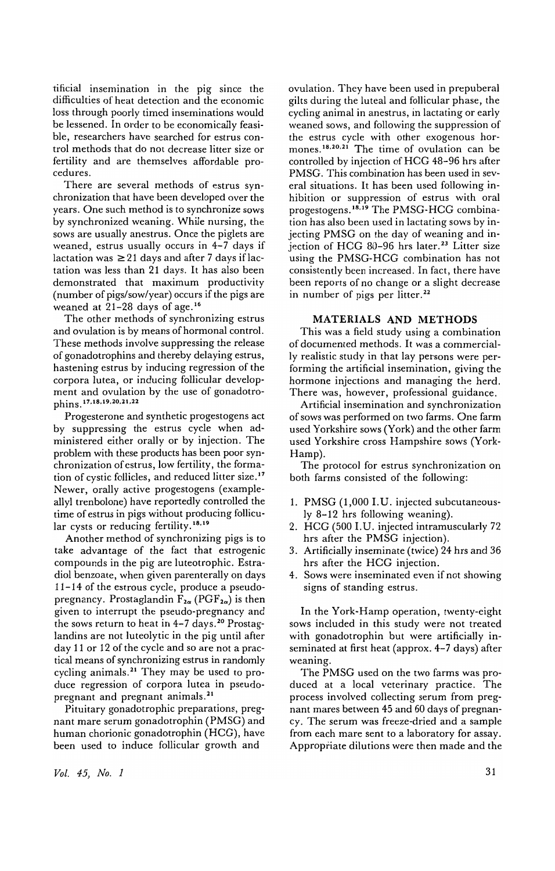tificial insemination in the pig since the difficulties of heat detection and the economic loss through poorly timed inseminations would be lessened. In order to be economically feasible, researchers have searched for estrus control methods that do not decrease litter size or fertility and are themselves affordable procedures.

There are several methods of estrus synchronization that have been developed over the years. One such method is to synchronize sows by synchronized weaning. While nursing, the sows are usually anestrus. Once the piglets are weaned, estrus usually occurs in 4-7 days if lactation was  $\geq$  21 days and after 7 days if lactation was less than 21 days. It has also been demonstrated that maximum productivity (number of pigs/sow/year) occurs if the pigs are weaned at 21-28 days of age. <sup>16</sup>

The other methods of synchronizing estrus and ovulation is by means of hormonal control. These methods involve suppressing the release of gonadotrophins and thereby delaying estrus, hastening estrus by inducing regression of the corpora lutea, or inducing follicular development and ovulation by the use of gonadotrophins.<sup>17,18,19,20,21,22</sup>

Progesterone and synthetic progestogens act by suppressing the estrus cycle when administered either orally or by injection. The problem with these products has been poor synchronization of estrus, low fertility, the formation of cystic follicles, and reduced litter size. '7 Newer, orally active progestogens (exampleallyl trenbolone) have reportedly controlled the time of estrus in pigs without producing follicular cysts or reducing fertility. 18.19

Another method of synchronizing pigs is to take advantage of the fact that estrogenic compounds in the pig are luteotrophic. Estradiol benzoate, when given parenterally on days 11-14 of the estrous cycle, produce a pseudopregnancy. Prostaglandin  $F_{2\alpha}$  (PGF<sub>2 $\alpha$ </sub>) is then given to interrupt the pseudo-pregnancy and the sows return to heat in 4-7 days.<sup>20</sup> Prostaglandins are not luteolytic in the pig until after day 11 or 12 of the cycle and so are not a practical means of synchronizing estrus in randomly cycling animals. 21 They may be used to produce regression of corpora lutea in pseudopregnant and pregnant animals. <sup>21</sup>

Pituitary gonadotrophic preparations, pregnant mare serum gonadotrophin (PMSG) and human chorionic gonadotrophin (HCG), have been used to induce follicular growth and

ovulation. They have been used in prepuberal gilts during the luteal and follicular phase, the cycling animal in anestrus, in lactating or early weaned sows, and following the suppression of the estrus cycle with other exogenous hormones.<sup>18,20,21</sup> The time of ovulation can be controlled by injection of HCG 48-96 hrs after PMSG. This combination has been used in several situations. It has been used following inhibition or suppression of estrus with oral progestogens.<sup>18,19</sup> The PMSG-HCG combination has also been used in lactating sows by injecting PMSG on the day of weaning and injection of HCG 80-96 hrs later.<sup>23</sup> Litter size using the PMSG-HCG combination has not consistently been increased. In fact, there have been reports of no change or a slight decrease in number of pigs per litter.<sup>22</sup>

#### MATERIALS AND METHODS

This was a field study using a combination of documented methods. It was a commercially realistic study in that lay persons were performing the artificial insemination, giving the hormone injections and managing the herd. There was, however, professional guidance.

Artificial insemination and synchronization of sows was performed on two farms. One farm used Yorkshire sows (York) and the other farm used Yorkshire cross Hampshire sows (York-Hamp).

The protocol for estrus synchronization on both farms consisted of the following:

- 1. PMSG (1,000 I. U. injected subcutaneously 8-12 hrs following weaning).
- 2. HCG (500 I.U. injected intramuscularly 72 hrs after the PMSG injection).
- 3. Artificially inseminate (twice) 24 hrs and 36 hrs after the HCG injection.
- 4. Sows were inseminated even if not showing signs of standing estrus.

In the York-Hamp operation, twenty-eight sows included in this study were not treated with gonadotrophin but were artificially inseminated at first heat (approx. 4-7 days) after weaning.

The PMSG used on the two farms was produced at a local veterinary practice. The process involved collecting serum from pregnant mares between 45 and 60 days of pregnancy. The serum was freeze-dried and a sample from each mare sent to a laboratory for assay. Appropriate dilutions were then made and the

*Vol.* 45, *No. 1*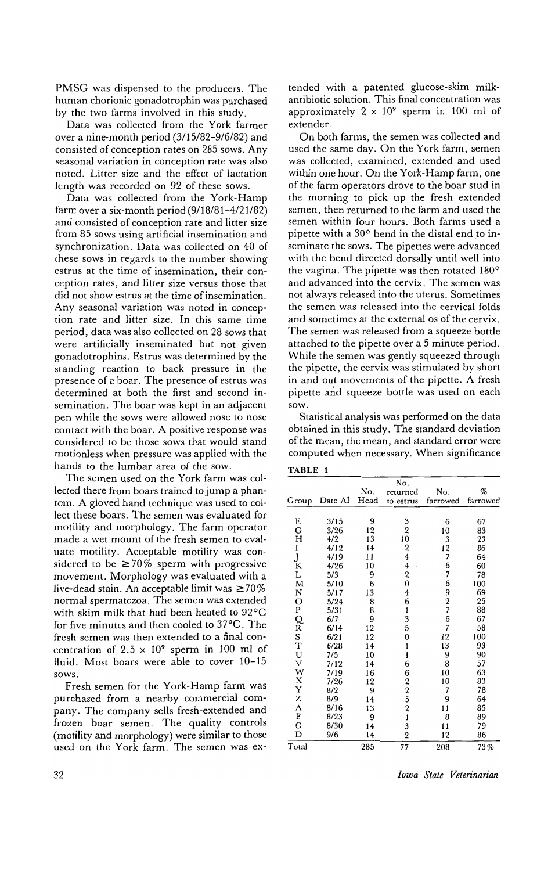PMSG was dispensed to the producers. The human chorionic gonadotrophin was purchased by the two farms involved in this study.

Data was collected from the York farmer over a nine-month period (3/15/82-9/6/82) and consisted of conception rates on 285 sows. Any seasonal variation in conception rate was also noted. Litter size and the effect of lactation length was recorded on 92 of these sows.

Data was collected from the York-Hamp farm over a six-month period (9/18/81-4/21/82) and consisted of conception rate and litter size from 85 sows using artificial insemination and synchronization. Data was collected on 40 of these sows in regards to the number showing estrus at the time of insemination, their conception rates, and litter size versus those that did not show estrus at the time of insemination. Any seasonal variation was noted in conception rate and litter size. In this same time period, data was also collected on 28 sows that were artificially inseminated but not given gonadotrophins. Estrus was determined by the standing reaction to back pressure in the presence of a boar. The presence of estrus was determined at both the first and second insemination. The boar was kept in an adjacent pen while thc sows were allowed nose to nose contact with the boar. A positive response was considered to be those sows that would stand motionless when pressure was applied with the hands to the lumbar area of the sow.

The semen used on the York farm was collected there from boars trained to jump a phantom. A gloved hand technique was used to collect these boars. The semen was evaluated for motility and morphology. The farm operator made a wet mount of the fresh semen to evaluate motility. Acceptable motility was considered to be  $\geq 70\%$  sperm with progressive movement. Morphology was evaluated with a live-dead stain. An acceptable limit was  $\geq 70\%$ normal spermatozoa. The semen was extended with skim milk that had been heated to 92°C for five minutes and then cooled to 37°C. The fresh semen was then extended to a final concentration of  $2.5 \times 10^9$  sperm in 100 ml of fluid. Most boars were able to cover 10-15 sows.

Fresh semen for the York-Hamp farm was purchased from a nearby commercial company. The company sells fresh-extended and frozen boar semen. The quality controls (motility and morphology) were similar to those used on the York farm. The semen was extended with a patented glucose-skim milkantibiotic solution. This final concentration was approximately  $2 \times 10^9$  sperm in 100 ml of extender.

On both farms, the semen was collected and used the same day. On the York farm, semen was collected, examined, extended and used within one hour. On the York-Hamp farm, one of the farm operators drove to the boar stud in the morning to pick up the fresh extended semen, then returned to the farm and used the semen within four hours. Both farms used a pipette with a  $30^{\circ}$  bend in the distal end to inseminate the sows. The pipettes were advanced with the bend directed dorsally until well into the vagina. The pipette was then rotated 180° and advanced into the cervix. The semen was not always released into the uterus. Sometimes the semen was released into the cervical folds and sometimes at the external os of the cervix. The semen was released from a squeeze bottle attached to the pipette over a 5 minute period. While the semen was gently squeezed through the pipette, the cervix was stimulated by short in and out movements of the pipette. A fresh pipette and squeeze bottle was used on each sow.

Statistical analysis was performed on the data obtained in this study. The standard deviation of the mean, the mean, and standard error were computed when necessary. When significance

| . .<br>٠<br>۰ |  |
|---------------|--|
|---------------|--|

|                                   |         |      | No.                     |                                        |          |
|-----------------------------------|---------|------|-------------------------|----------------------------------------|----------|
|                                   |         | No.  | returned                | No.                                    | %        |
|                                   |         |      |                         |                                        |          |
| Group                             | Date AI | Head | to estrus               | farrowed                               | farrowed |
|                                   |         |      |                         |                                        |          |
| E                                 | 3/15    | 9    | 3                       | 6                                      | 67       |
| G                                 | 3/26    | 12   | $\overline{\mathbf{2}}$ | 10                                     | 83       |
| Н                                 | 4/2     | 13   | 10                      | 3                                      | 23       |
| I                                 | 4/12    | 14   | $\frac{2}{4}$           | $\begin{array}{c} 12 \\ 7 \end{array}$ | 86       |
|                                   | 4/19    | 11   |                         |                                        | 64       |
| $\frac{\text{J}}{\text{K}}$       | 4/26    | 10   | $\overline{4}$          | 6<br>7                                 | 60       |
|                                   | 5/3     | 9    | $\overline{\mathbf{2}}$ |                                        | 78       |
|                                   | 5/10    | 6    | 0                       | 6                                      | 100      |
|                                   | 5/17    | 13   |                         |                                        | 69       |
|                                   | 5/24    | 8    | $^4_6$                  | 9<br>27<br>6                           | 25       |
|                                   | 5/31    | 8    | $\mathbf{1}$            |                                        | 88       |
|                                   | 6/7     | 9    | 3                       |                                        | 67       |
|                                   | 6/14    | 12   | 5                       | $\overline{7}$                         | 58       |
|                                   | 6/21    | 12   | $\bf{0}$                | 12                                     | 100      |
|                                   | 6/28    | 14   | $\mathbf{1}$            | 13                                     | 93       |
|                                   | 7/5     | 10   | 1                       | 9                                      | 90       |
|                                   | 7/12    | 14   | 6                       | 8                                      | 57       |
|                                   | 7/19    | 16   |                         | 10                                     | 63       |
|                                   | 7/26    | 12   |                         | 10                                     | 83       |
|                                   | 8/2     | 9    |                         | 7                                      | 78       |
|                                   | 8/9     | 14   |                         | 9                                      | 64       |
|                                   | 8/16    | 13   |                         | 11                                     | 85       |
| L M N O P Q R S T U V W X Y Z A B | 8/23    | 9    | 622521                  | 8                                      | 89       |
| C                                 | 8/30    | 14   |                         | 11                                     | 79       |
| D                                 | 9/6     | 14   | $\frac{3}{2}$           | 12                                     | 86       |
| Total                             |         | 285  | 77                      | 208                                    | 73%      |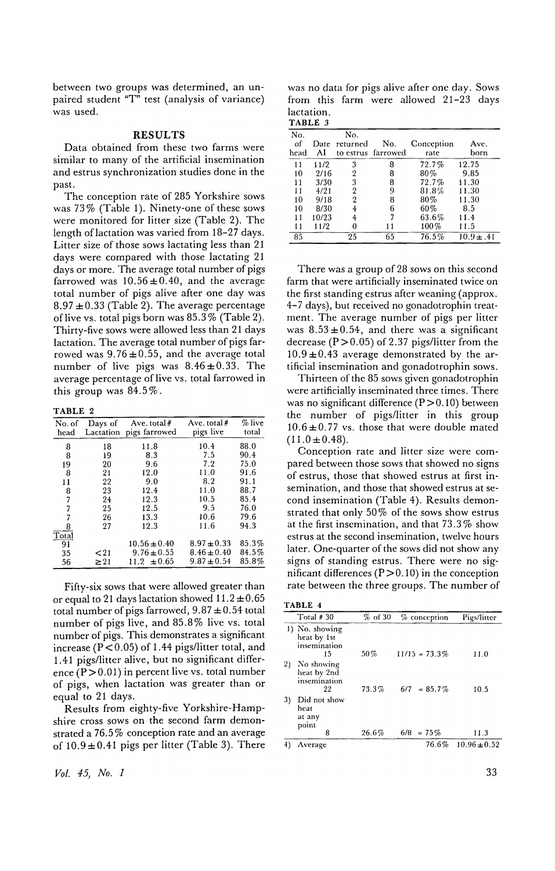between two groups was determined, an unpaired student " $T^{\hat{n}}$  test (analysis of variance) was used.

### RESULTS

Data obtained from these two farms were similar to many of the artificial insemination and estrus synchronization studies done in the past.

The conception rate of 285 Yorkshire sows was 73% (Table 1). Ninety-one of these sows were monitored for litter size (Table 2). The length oflactation was varied from 18-27 days. Litter size of those sows lactating less than 21 days were compared with those lactating 21 days or more. The average total number of pigs farrowed was  $10.56 \pm 0.40$ , and the average total number of pigs alive after one day was  $8.97 \pm 0.33$  (Table 2). The average percentage of live vs. total pigs born was 85.3% (Table 2). Thirty-five sows were allowed less than 21 days lactation. The average total number of pigs farrowed was  $9.76 \pm 0.55$ , and the average total number of live pigs was  $8.46 \pm 0.33$ . The average percentage of live vs. total farrowed in this group was 84.5%.

TABLE 2

| No. of<br>head | Days of<br>Lactation | Ave. total $#$<br>pigs farrowed | Ave. total $#$<br>pigs live | % live<br>total |
|----------------|----------------------|---------------------------------|-----------------------------|-----------------|
| 8              | 18                   | 11.8                            | 10.4                        | 88.0            |
| 8              | 19                   | 8.3                             | 7.5                         | 90.4            |
| 19             | 20                   | 9.6                             | 7.2                         | 75.0            |
| 8              | 21                   | 12.0                            | 11.0                        | 91.6            |
| 11             | 22                   | 9.0                             | 8.2                         | 91.1            |
| 8              | 23                   | 12.4                            | 11.0                        | 88.7            |
| 7              | 24                   | 12.3                            | 10.5                        | 85.4            |
| 7              | 25                   | 12.5                            | 9.5                         | 76.0            |
| 7              | 26                   | 13.3                            | 10.6                        | 79.6            |
| 8              | 27                   | 12.3                            | 11.6                        | 94.3            |
| Total          |                      |                                 |                             |                 |
| 91             |                      | $10.56 \pm 0.40$                | $8.97 \pm 0.33$             | 85.3%           |
| 35             | $21$                 | $9.76 \pm 0.55$                 | $8.46 \pm 0.40$             | 84.5%           |
| 56             | $\geq$ 21            | $11.2 \pm 0.65$                 | $9.87 \pm 0.54$             | 85.8%           |

Fifty-six sows that were allowed greater than or equal to 21 days lactation showed  $11.2 \pm 0.65$ total number of pigs farrowed,  $9.87 \pm 0.54$  total number of pigs live, and 85.8% live vs. total number of pigs. This demonstrates a significant increase ( $P < 0.05$ ) of 1.44 pigs/litter total, and 1.41 pigs/litter alive, but no significant difference  $(P>0.01)$  in percent live vs. total number of pigs, when lactation was greater than or equal to 21 days.

Results from eighty-five Yorkshire-Hampshire cross sows on the second farm demonstrated a 76.5 % conception rate and an average of *10.9±OA1* pigs per litter (Table 3). There

*Vol.* 45, *No.1* 

was no data for pigs alive after one day. Sows from this farm were allowed 21-23 days lactation.

| и | ABI |  |  |
|---|-----|--|--|
|   |     |  |  |

| No.<br>of<br>head | Date<br>AI | No.<br>returned | No.<br>to estrus farrowed | Conception<br>rate | Ave.<br>born   |
|-------------------|------------|-----------------|---------------------------|--------------------|----------------|
| 11                | 11/2       | 3               | 8                         | 72.7%              | 12.75          |
| 10                | 2/16       | $\overline{2}$  | 8                         | $80\%$             | 9.85           |
| 11                | 3/30       | 3               | 8                         | 72.7%              | 11.30          |
| 11                | 4/21       | 2               | 9                         | 81.8%              | 11.30          |
| 10                | 9/18       | 2               | 8                         | 80%                | 11.30          |
| 10                | 8/30       |                 | 6                         | 60%                | 8.5            |
| 11                | 10/23      | 4               |                           | 63.6%              | 11.4           |
| 11                | 11/2       |                 |                           | 100%               | 11.5           |
| 85                |            | 25              | 65                        | 76.5%              | $10.9 \pm .41$ |

There was a group of28 sows on this second farm that were artificially inseminated twice on the first standing estrus after weaning (approx. 4-7 days), but received no gonadotrophin treatment. The average number of pigs per litter was  $8.53 \pm 0.54$ , and there was a significant decrease ( $P > 0.05$ ) of 2.37 pigs/litter from the  $10.9 \pm 0.43$  average demonstrated by the artificial insemination and gonadotrophin sows.

Thirteen of the 85 sows given gonadotrophin were artificially inseminated three times. There was no significant difference  $(P>0.10)$  between the number of pigs/litter in this group  $10.6 \pm 0.77$  vs. those that were double mated  $(11.0 \pm 0.48)$ .

Conception rate and litter size were compared between those sows that showed no signs of estrus, those that showed estrus at first insemination, and those that showed estrus at second insemination (Table 4). Results demonstrated that only 50 % of the sows show estrus at the first insemination, and that 73.3 % show estrus at the second insemination, twelve hours later. One-quarter of the sows did not show any signs of standing estrus. There were no significant differences  $(P > 0.10)$  in the conception rate between the three groups. The number of

|  | `ABL |  |
|--|------|--|
|--|------|--|

|    | Total $#30$                                         | $%$ of 30 | % conception     | Pigs/litter      |
|----|-----------------------------------------------------|-----------|------------------|------------------|
|    | 1) No. showing<br>heat by 1st<br>insemination<br>15 | 50%       | $11/15 = 73.3\%$ | 11.0             |
| 2) | No showing<br>heat by 2nd<br>insemination<br>22     | 73.3%     | $6/7 = 85.7\%$   | 10.5             |
| 3) | Did not show<br>heat<br>at any<br>point             |           |                  |                  |
|    | 8                                                   | 26.6%     | $6/8$ = 75%      | 11.3             |
| 4) | Average                                             |           | 76.6%            | $10.96 \pm 0.52$ |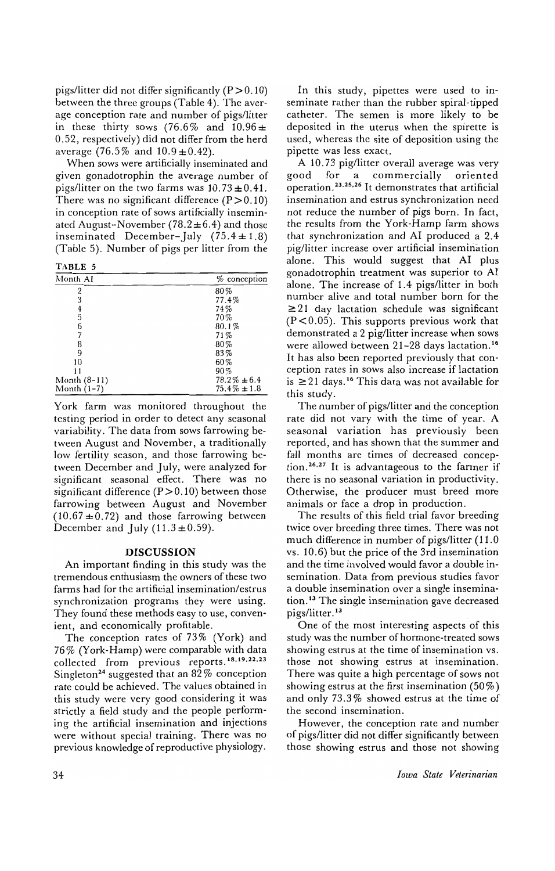pigs/litter did not differ significantly  $(P > 0.10)$ between the three groups (Table 4). The average conception rate and number of pigs/litter in these thirty sows (76.6% and  $10.96 \pm$ 0.52, respectively) did not differ from the herd average (76.5% and  $10.9 \pm 0.42$ ).

When sows were artificially inseminated and given gonadotrophin the average number of pigs/litter on the two farms was  $10.73 \pm 0.41$ . There was no significant difference  $(P > 0.10)$ in conception rate of sows artificially inseminated August-November (78.2 $\pm$ 6.4) and those inseminated December-July  $(75.4 \pm 1.8)$ (Table 5). Number of pigs per litter from the

TABLE 5

| Month AI       | $%$ conception   |
|----------------|------------------|
| 2              | 80%              |
| 3              | 77.4%            |
| 4              | 74%              |
| 5              | 70%              |
| 6              | 80.1%            |
|                | 71%              |
| 8              | $80\%$           |
| 9              | 83%              |
| 10             | 60%              |
| 11             | 90%              |
| Month $(8-11)$ | $78.2\% \pm 6.4$ |
| Month $(1-7)$  | $75.4\% \pm 1.8$ |

York farm was monitored throughout the tcsting period in order to detect any seasonal variability. The data from sows farrowing between August and November, a traditionally low fertility season, and those farrowing between December and July, were analyzed for significant seasonal effect. There was no significant difference  $(P > 0.10)$  between those farrowing between August and November  $(10.67 \pm 0.72)$  and those farrowing between December and July  $(11.3 \pm 0.59)$ .

#### **DISCUSSION**

An important finding in this study was the tremendous enthusiasm the owners of these two farms had for the artificial insemination/estrus synchronization programs they were using. They found these methods easy to use, convenient, and economically profitable.

The conception rates of 73% (York) and 76% (York-Hamp) were comparable with data collected from previous reports.<sup>18,19,22,23</sup> Singleton<sup>24</sup> suggested that an  $82\%$  conception rate could be achieved. Thc values obtained in this study wcre very good considering it was strictly a field study and the people performing the artificial insemination and injections were without special training. There was no previous knowledge of reproductive physiology.

In this study, pipettes were used to inseminate rather than the rubber spiral-tipped catheter. The semen is more likely to be deposited in the uterus when the spirette is used, whereas the site of deposition using the pipette was less exact.

A 10.73 pig/litter overall average was very good for a commercially oriented operation.23.25.26 It demonstrates that artificial insemination and estrus synchronization need not reduce the number of pigs born. In fact, the results from the York-Hamp farm shows that synchronization and AI produced a 2.4 pig/litter increase over artificial insemination alone. This would suggest that AI plus gonadotrophin treatment was superior to AI alone. The increase of 1.4 pigs/litter in both number alive and total number born for the  $\geq$  21 day lactation schedule was significant  $(P<0.05)$ . This supports previous work that demonstrated a 2 pig/litter increase when sows were allowed between 21-28 days lactation. <sup>16</sup> It has also been reported previously that conception rates in sows also increase if lactation is  $\geq$  21 days.<sup>16</sup> This data was not available for this study.

The number of pigs/litter and the conception rate did not vary with the time of year. A seasonal variation has previously been reported, and has shown that the summer and fall months are times of decreased conception. 26.27 It is advantageous to the farmer if there is no seasonal variation in productivity. Otherwise, the producer must breed more animals or face a drop in production.

The results of this field trial favor breeding twice over breeding three times. There was not much difference in number of pigs/litter (11.0) vs. 10.6) but the price of the 3rd insemination and the time involved would favor a double insemination. Data from previous studies favor a double insemination over a single insemination. 13 The single insemination gave decreased pigs/litter. 13

One of the most interesting aspects of this study was the number of hormone-treated sows showing estrus at the time of insemination vs. those not showing estrus at insemination. There was quite a high percentagc of sows not showing estrus at the first insemination  $(50\%)$ and only 73.3% showed estrus at the time of the second insemination.

However, the conception rate and number of pigs/litter did not differ significantly between those showing estrus and those not showing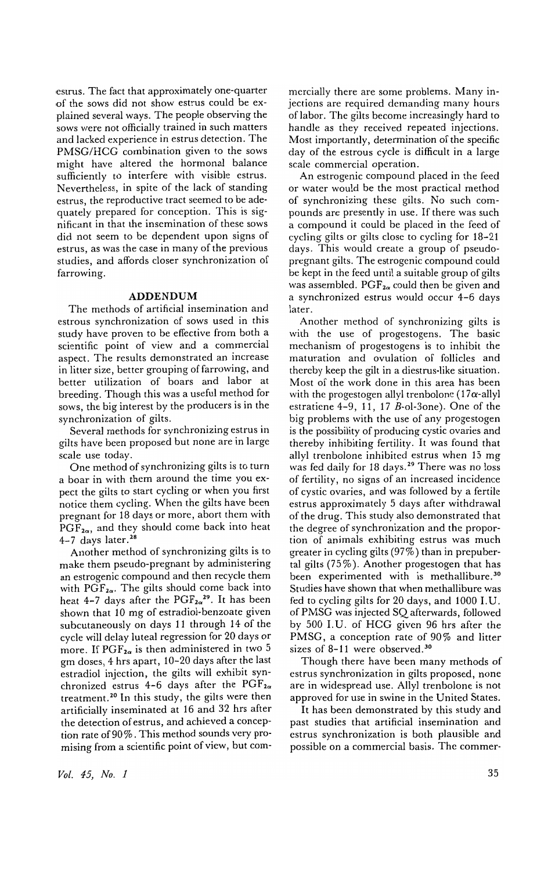estrus. The fact that approximately one-quarter of the sows did not show estrus could be explained several ways. The people observing the sows were not officially trained in such matters and lacked experience in estrus detection. The PMSG/HCG combination given to the sows might have altered the hormonal balance sufficiently to interfere with visible estrus. Nevertheless, in spite of the lack of standing estrus, the reproductive tract seemed to be adequately prepared for conception. This is significant in that the insemination of these sows did not seem to be dependent upon signs of estrus, as was the case in many of the previous studies, and affords closer synchronization of farrowing.

#### **ADDENDUM**

The methods of artificial insemination and estrous synchronization of sows used in this study have proven to be effective from both a scientific point of view and a commercial aspect. The results demonstrated an increase in litter size, better grouping of farrowing, and better utilization of boars and labor at breeding. Though this was a useful method for sows, the big interest by the producers is in the synchronization of gilts.

Several methods for synchronizing estrus in gilts have been proposed but none are in large scale use today.

One method of synchronizing gilts is to turn a boar in with them around the time you expect the gilts to start cycling or when you first notice them cycling. When the gilts have been pregnant for 18 days or more, abort them with  $PGF_{2\alpha}$ , and they should come back into heat  $4-7$  days later.<sup>28</sup>

Another method of synchronizing gilts is to make them pseudo-pregnant by administering an estrogenic compound and then recycle them with PGF<sub>2a</sub>. The gilts should come back into heat 4-7 days after the PGF*za29 •* It has been shown that 10 mg of estradiol-benzoate given subcutaneously on days 11 through 14 of the cycle will delay luteal regression for 20 days or more. If  $PGF_{2\alpha}$  is then administered in two 5 gm doses, 4 hrs apart, 10-20 days after the last estradiol injection, the gilts will exhibit synchronized estrus 4-6 days after the  $PGF_{2\alpha}$ treatment.<sup>20</sup> In this study, the gilts were then artificially inseminated at 16 and 32 hrs after the detection of estrus, and achieved a conception rate of 90 %. This method sounds very promising from a scientific point of view, but com-

*Vol.* 45, *No. 1* 

mercially there are some problems. Many injections are required demanding many hours of labor. The gilts become increasingly hard to handle as they received repeated injections. Most importantly, determination of the specific day of the estrous cycle is difficult in a large scale commercial operation.

An estrogenic compound placed in the feed or water would be the most practical method of synchronizing these gilts. No such compounds are presently in use. If there was such a compound it could be placed in the feed of cycling gilts or gilts close to cycling for 18-21 days. This would create a group of pseudopregnant gilts. The estrogenic compound could be kept in the feed until a suitable group of gilts was assembled. PGF*2a* could then be given and a synchronized estrus would occur 4-6 days later.

Another method of synchronizing gilts is with the use of progestogens. The basic mechanism of progestogens is to inhibit the maturation and ovulation of follicles and thereby keep the gilt in a diestrus-like situation. Most of the work done in this area has been with the progestogen allyl trenbolone (17 $\alpha$ -allyl estratiene 4-9, 11, 17 B-ol-30ne). One of the big problems with the use of any progestogen is the possibility of producing cystic ovaries and thereby inhibiting fertility. It was found that allyl trenbolone inhibited estrus when 15 mg was fed daily for 18 days.<sup>29</sup> There was no loss of fertility, no signs of an increased incidence of cystic ovaries, and was followed by a fertile estrus approximately 5 days after withdrawal of the drug. This study also demonstrated that the degree of synchronization and the proportion of animals exhibiting estrus was much greater in cycling gilts (97%) than in prepubertal gilts  $(75\%)$ . Another progestogen that has been experimented with is methallibure.<sup>30</sup> Studies have shown that when methallibure was fed to cycling gilts for 20 days, and 1000 I. U. of PMSG was injected SQ afterwards, followed by 500 I.U. of HCG given 96 hrs after the PMSG, a conception rate of 90% and litter sizes of 8-11 were observed.<sup>30</sup>

Though there have been many methods of estrus synchronization in gilts proposed, none are in widespread use. Allyl trenbolone is not approved for use in swine in the United States.

It has been demonstrated by this study and past studies that artificial insemination and estrus synchronization is both plausible and possible on a commercial basis. The commer